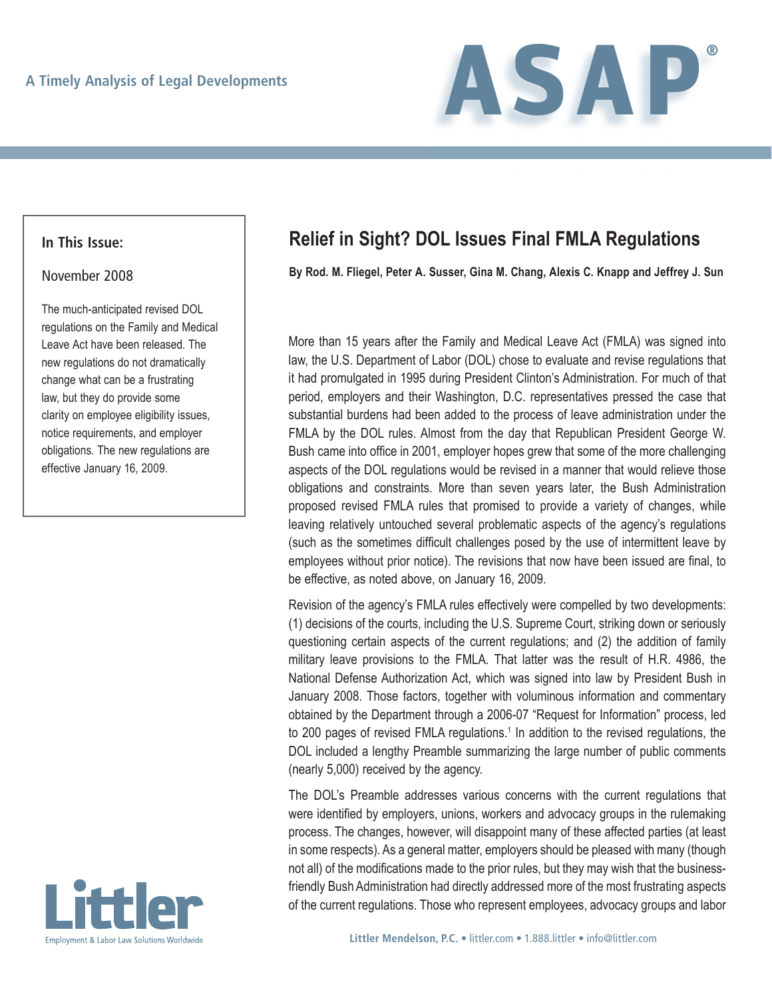

#### **In This Issue:**

#### November 2008

The much-anticipated revised DOL regulations on the Family and Medical Leave Act have been released. The new regulations do not dramatically change what can be a frustrating law, but they do provide some clarity on employee eligibility issues, notice requirements, and employer obligations. The new regulations are effective January 16, 2009.



# **Relief in Sight? DOL Issues Final FMLA Regulations**

**By Rod. M. Fliegel, Peter A. Susser, Gina M. Chang, Alexis C. Knapp and Jeffrey J. Sun**

More than 15 years after the Family and Medical Leave Act (FMLA) was signed into law, the U.S. Department of Labor (DOL) chose to evaluate and revise regulations that it had promulgated in 1995 during President Clinton's Administration. For much of that period, employers and their Washington, D.C. representatives pressed the case that substantial burdens had been added to the process of leave administration under the FMLA by the DOL rules. Almost from the day that Republican President George W. Bush came into office in 2001, employer hopes grew that some of the more challenging aspects of the DOL regulations would be revised in a manner that would relieve those obligations and constraints. More than seven years later, the Bush Administration proposed revised FMLA rules that promised to provide a variety of changes, while leaving relatively untouched several problematic aspects of the agency's regulations (such as the sometimes difficult challenges posed by the use of intermittent leave by employees without prior notice). The revisions that now have been issued are final, to be effective, as noted above, on January 16, 2009.

Revision of the agency's FMLA rules effectively were compelled by two developments: (1) decisions of the courts, including the U.S. Supreme Court, striking down or seriously questioning certain aspects of the current regulations; and (2) the addition of family military leave provisions to the FMLA. That latter was the result of H.R. 4986, the National Defense Authorization Act, which was signed into law by President Bush in January 2008. Those factors, together with voluminous information and commentary obtained by the Department through a 2006-07 "Request for Information" process, led to 200 pages of revised FMLA regulations.<sup>1</sup> In addition to the revised regulations, the DOL included a lengthy Preamble summarizing the large number of public comments (nearly 5,000) received by the agency.

The DOL's Preamble addresses various concerns with the current regulations that were identified by employers, unions, workers and advocacy groups in the rulemaking process. The changes, however, will disappoint many of these affected parties (at least in some respects). As a general matter, employers should be pleased with many (though not all) of the modifications made to the prior rules, but they may wish that the businessfriendly Bush Administration had directly addressed more of the most frustrating aspects of the current regulations. Those who represent employees, advocacy groups and labor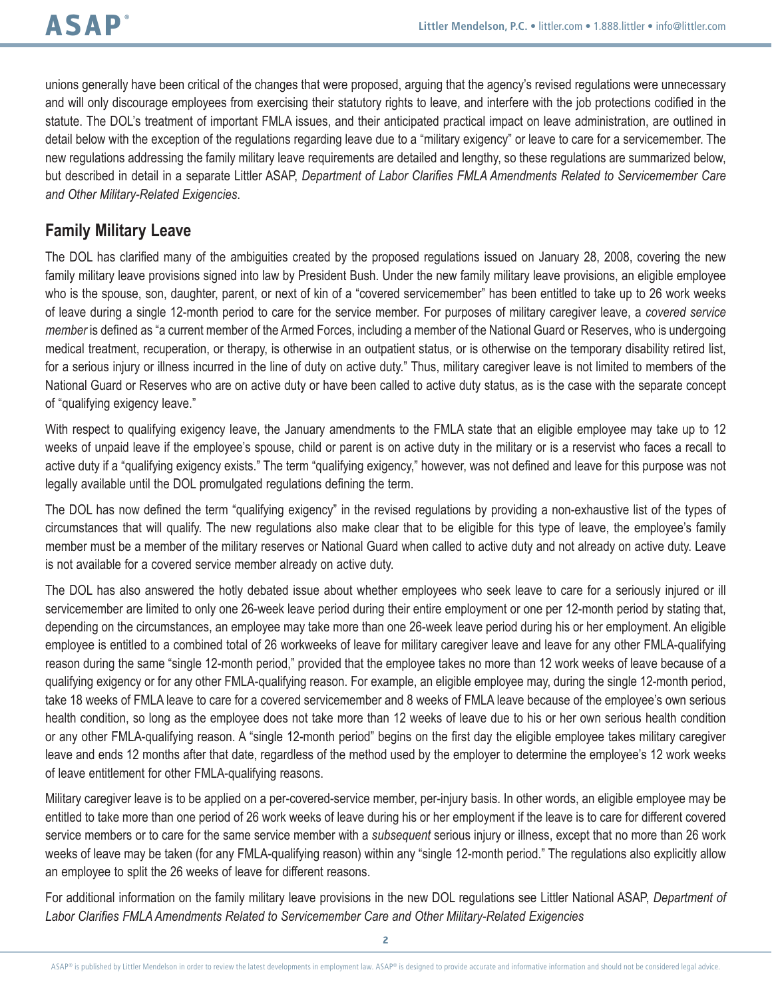unions generally have been critical of the changes that were proposed, arguing that the agency's revised regulations were unnecessary and will only discourage employees from exercising their statutory rights to leave, and interfere with the job protections codified in the statute. The DOL's treatment of important FMLA issues, and their anticipated practical impact on leave administration, are outlined in detail below with the exception of the regulations regarding leave due to a "military exigency" or leave to care for a servicemember. The new regulations addressing the family military leave requirements are detailed and lengthy, so these regulations are summarized below, but described in detail in a separate Littler ASAP, *Department of Labor Clarifies FMLA Amendments Related to Servicemember Care and Other Military-Related Exigencies*.

## **Family Military Leave**

The DOL has clarified many of the ambiguities created by the proposed regulations issued on January 28, 2008, covering the new family military leave provisions signed into law by President Bush. Under the new family military leave provisions, an eligible employee who is the spouse, son, daughter, parent, or next of kin of a "covered servicemember" has been entitled to take up to 26 work weeks of leave during a single 12-month period to care for the service member. For purposes of military caregiver leave, a *covered service member* is defined as "a current member of the Armed Forces, including a member of the National Guard or Reserves, who is undergoing medical treatment, recuperation, or therapy, is otherwise in an outpatient status, or is otherwise on the temporary disability retired list, for a serious injury or illness incurred in the line of duty on active duty." Thus, military caregiver leave is not limited to members of the National Guard or Reserves who are on active duty or have been called to active duty status, as is the case with the separate concept of "qualifying exigency leave."

With respect to qualifying exigency leave, the January amendments to the FMLA state that an eligible employee may take up to 12 weeks of unpaid leave if the employee's spouse, child or parent is on active duty in the military or is a reservist who faces a recall to active duty if a "qualifying exigency exists." The term "qualifying exigency," however, was not defined and leave for this purpose was not legally available until the DOL promulgated regulations defining the term.

The DOL has now defined the term "qualifying exigency" in the revised regulations by providing a non-exhaustive list of the types of circumstances that will qualify. The new regulations also make clear that to be eligible for this type of leave, the employee's family member must be a member of the military reserves or National Guard when called to active duty and not already on active duty. Leave is not available for a covered service member already on active duty.

The DOL has also answered the hotly debated issue about whether employees who seek leave to care for a seriously injured or ill servicemember are limited to only one 26-week leave period during their entire employment or one per 12-month period by stating that, depending on the circumstances, an employee may take more than one 26-week leave period during his or her employment. An eligible employee is entitled to a combined total of 26 workweeks of leave for military caregiver leave and leave for any other FMLA-qualifying reason during the same "single 12-month period," provided that the employee takes no more than 12 work weeks of leave because of a qualifying exigency or for any other FMLA-qualifying reason. For example, an eligible employee may, during the single 12-month period, take 18 weeks of FMLA leave to care for a covered servicemember and 8 weeks of FMLA leave because of the employee's own serious health condition, so long as the employee does not take more than 12 weeks of leave due to his or her own serious health condition or any other FMLA-qualifying reason. A "single 12-month period" begins on the first day the eligible employee takes military caregiver leave and ends 12 months after that date, regardless of the method used by the employer to determine the employee's 12 work weeks of leave entitlement for other FMLA-qualifying reasons.

Military caregiver leave is to be applied on a per-covered-service member, per-injury basis. In other words, an eligible employee may be entitled to take more than one period of 26 work weeks of leave during his or her employment if the leave is to care for different covered service members or to care for the same service member with a *subsequent* serious injury or illness, except that no more than 26 work weeks of leave may be taken (for any FMLA-qualifying reason) within any "single 12-month period." The regulations also explicitly allow an employee to split the 26 weeks of leave for different reasons.

For additional information on the family military leave provisions in the new DOL regulations see Littler National ASAP, *Department of Labor Clarifies FMLA Amendments Related to Servicemember Care and Other Military-Related Exigencies*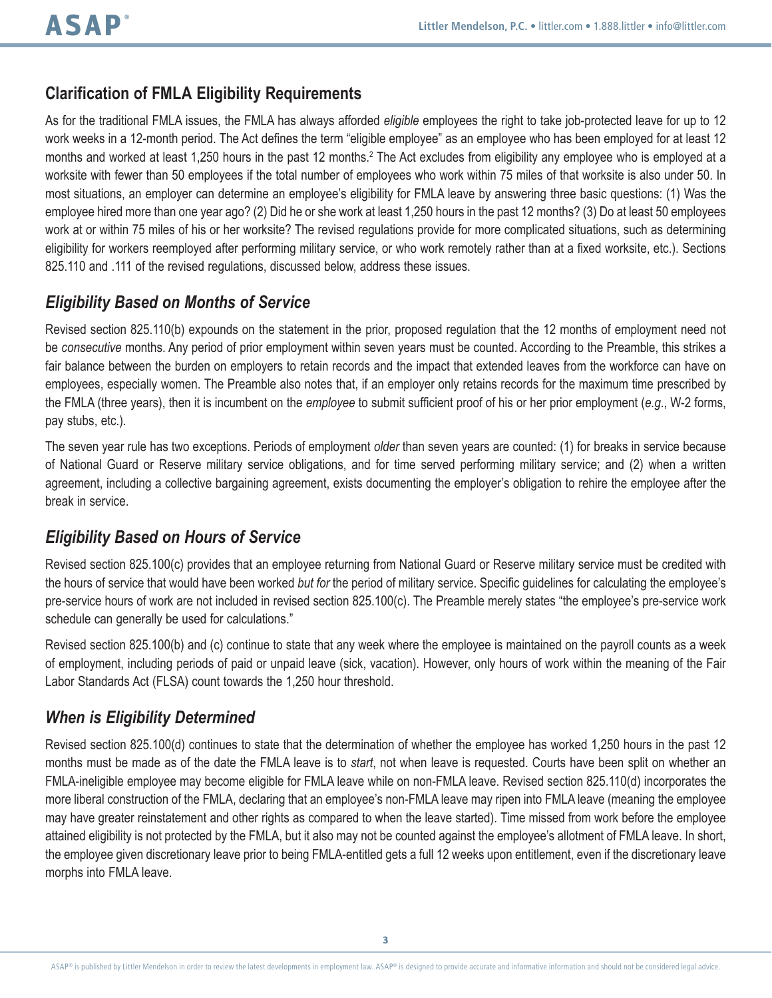## **Clarification of FMLA Eligibility Requirements**

As for the traditional FMLA issues, the FMLA has always afforded *eligible* employees the right to take job-protected leave for up to 12 work weeks in a 12-month period. The Act defines the term "eligible employee" as an employee who has been employed for at least 12 months and worked at least 1,250 hours in the past 12 months.<sup>2</sup> The Act excludes from eligibility any employee who is employed at a worksite with fewer than 50 employees if the total number of employees who work within 75 miles of that worksite is also under 50. In most situations, an employer can determine an employee's eligibility for FMLA leave by answering three basic questions: (1) Was the employee hired more than one year ago? (2) Did he or she work at least 1,250 hours in the past 12 months? (3) Do at least 50 employees work at or within 75 miles of his or her worksite? The revised regulations provide for more complicated situations, such as determining eligibility for workers reemployed after performing military service, or who work remotely rather than at a fixed worksite, etc.). Sections 825.110 and .111 of the revised regulations, discussed below, address these issues.

#### *Eligibility Based on Months of Service*

Revised section 825.110(b) expounds on the statement in the prior, proposed regulation that the 12 months of employment need not be *consecutive* months. Any period of prior employment within seven years must be counted. According to the Preamble, this strikes a fair balance between the burden on employers to retain records and the impact that extended leaves from the workforce can have on employees, especially women. The Preamble also notes that, if an employer only retains records for the maximum time prescribed by the FMLA (three years), then it is incumbent on the *employee* to submit sufficient proof of his or her prior employment (*e.g*., W-2 forms, pay stubs, etc.).

The seven year rule has two exceptions. Periods of employment *older* than seven years are counted: (1) for breaks in service because of National Guard or Reserve military service obligations, and for time served performing military service; and (2) when a written agreement, including a collective bargaining agreement, exists documenting the employer's obligation to rehire the employee after the break in service.

#### *Eligibility Based on Hours of Service*

Revised section 825.100(c) provides that an employee returning from National Guard or Reserve military service must be credited with the hours of service that would have been worked *but for* the period of military service. Specific guidelines for calculating the employee's pre-service hours of work are not included in revised section 825.100(c). The Preamble merely states "the employee's pre-service work schedule can generally be used for calculations."

Revised section 825.100(b) and (c) continue to state that any week where the employee is maintained on the payroll counts as a week of employment, including periods of paid or unpaid leave (sick, vacation). However, only hours of work within the meaning of the Fair Labor Standards Act (FLSA) count towards the 1,250 hour threshold.

#### *When is Eligibility Determined*

Revised section 825.100(d) continues to state that the determination of whether the employee has worked 1,250 hours in the past 12 months must be made as of the date the FMLA leave is to *start*, not when leave is requested. Courts have been split on whether an FMLA-ineligible employee may become eligible for FMLA leave while on non-FMLA leave. Revised section 825.110(d) incorporates the more liberal construction of the FMLA, declaring that an employee's non-FMLA leave may ripen into FMLA leave (meaning the employee may have greater reinstatement and other rights as compared to when the leave started). Time missed from work before the employee attained eligibility is not protected by the FMLA, but it also may not be counted against the employee's allotment of FMLA leave. In short, the employee given discretionary leave prior to being FMLA-entitled gets a full 12 weeks upon entitlement, even if the discretionary leave morphs into FMLA leave.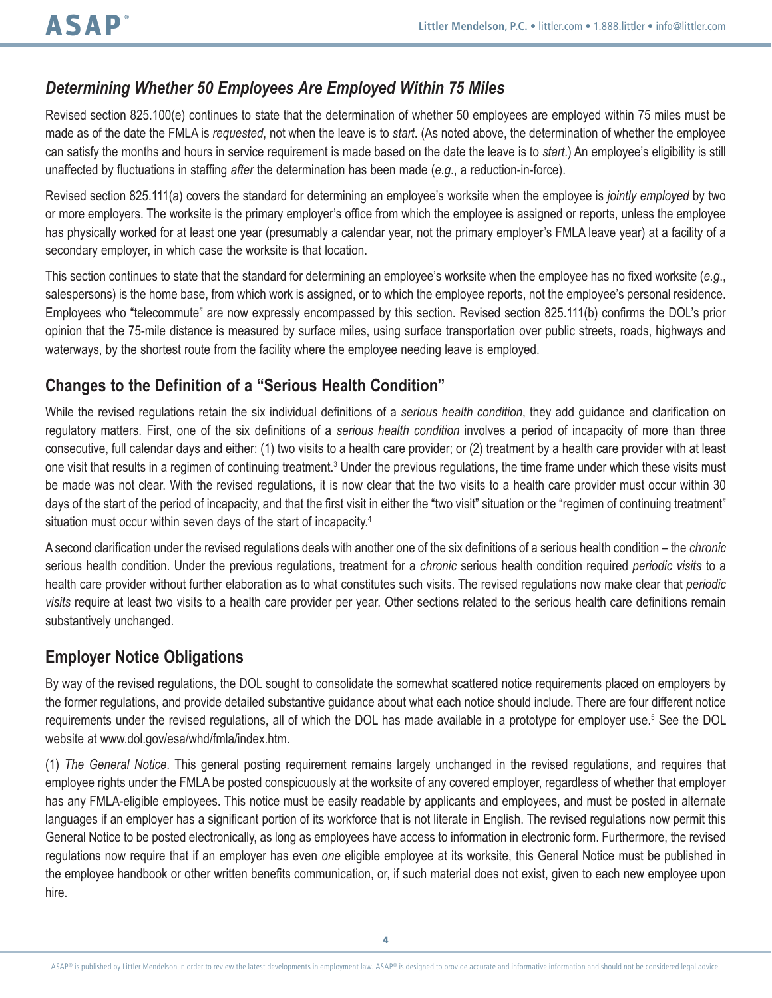## *Determining Whether 50 Employees Are Employed Within 75 Miles*

Revised section 825.100(e) continues to state that the determination of whether 50 employees are employed within 75 miles must be made as of the date the FMLA is *requested*, not when the leave is to *start*. (As noted above, the determination of whether the employee can satisfy the months and hours in service requirement is made based on the date the leave is to *start*.) An employee's eligibility is still unaffected by fluctuations in staffing *after* the determination has been made (*e.g*., a reduction-in-force).

Revised section 825.111(a) covers the standard for determining an employee's worksite when the employee is *jointly employed* by two or more employers. The worksite is the primary employer's office from which the employee is assigned or reports, unless the employee has physically worked for at least one year (presumably a calendar year, not the primary employer's FMLA leave year) at a facility of a secondary employer, in which case the worksite is that location.

This section continues to state that the standard for determining an employee's worksite when the employee has no fixed worksite (*e.g*., salespersons) is the home base, from which work is assigned, or to which the employee reports, not the employee's personal residence. Employees who "telecommute" are now expressly encompassed by this section. Revised section 825.111(b) confirms the DOL's prior opinion that the 75-mile distance is measured by surface miles, using surface transportation over public streets, roads, highways and waterways, by the shortest route from the facility where the employee needing leave is employed.

## **Changes to the Definition of a "Serious Health Condition"**

While the revised regulations retain the six individual definitions of a *serious health condition*, they add guidance and clarification on regulatory matters. First, one of the six definitions of a *serious health condition* involves a period of incapacity of more than three consecutive, full calendar days and either: (1) two visits to a health care provider; or (2) treatment by a health care provider with at least one visit that results in a regimen of continuing treatment.<sup>3</sup> Under the previous regulations, the time frame under which these visits must be made was not clear. With the revised regulations, it is now clear that the two visits to a health care provider must occur within 30 days of the start of the period of incapacity, and that the first visit in either the "two visit" situation or the "regimen of continuing treatment" situation must occur within seven days of the start of incapacity.<sup>4</sup>

A second clarification under the revised regulations deals with another one of the six definitions of a serious health condition – the *chronic* serious health condition. Under the previous regulations, treatment for a *chronic* serious health condition required *periodic visits* to a health care provider without further elaboration as to what constitutes such visits. The revised regulations now make clear that *periodic visits* require at least two visits to a health care provider per year. Other sections related to the serious health care definitions remain substantively unchanged.

#### **Employer Notice Obligations**

By way of the revised regulations, the DOL sought to consolidate the somewhat scattered notice requirements placed on employers by the former regulations, and provide detailed substantive guidance about what each notice should include. There are four different notice requirements under the revised regulations, all of which the DOL has made available in a prototype for employer use.<sup>5</sup> See the DOL website at www.dol.gov/esa/whd/fmla/index.htm.

(1) *The General Notice*. This general posting requirement remains largely unchanged in the revised regulations, and requires that employee rights under the FMLA be posted conspicuously at the worksite of any covered employer, regardless of whether that employer has any FMLA-eligible employees. This notice must be easily readable by applicants and employees, and must be posted in alternate languages if an employer has a significant portion of its workforce that is not literate in English. The revised regulations now permit this General Notice to be posted electronically, as long as employees have access to information in electronic form. Furthermore, the revised regulations now require that if an employer has even *one* eligible employee at its worksite, this General Notice must be published in the employee handbook or other written benefits communication, or, if such material does not exist, given to each new employee upon hire.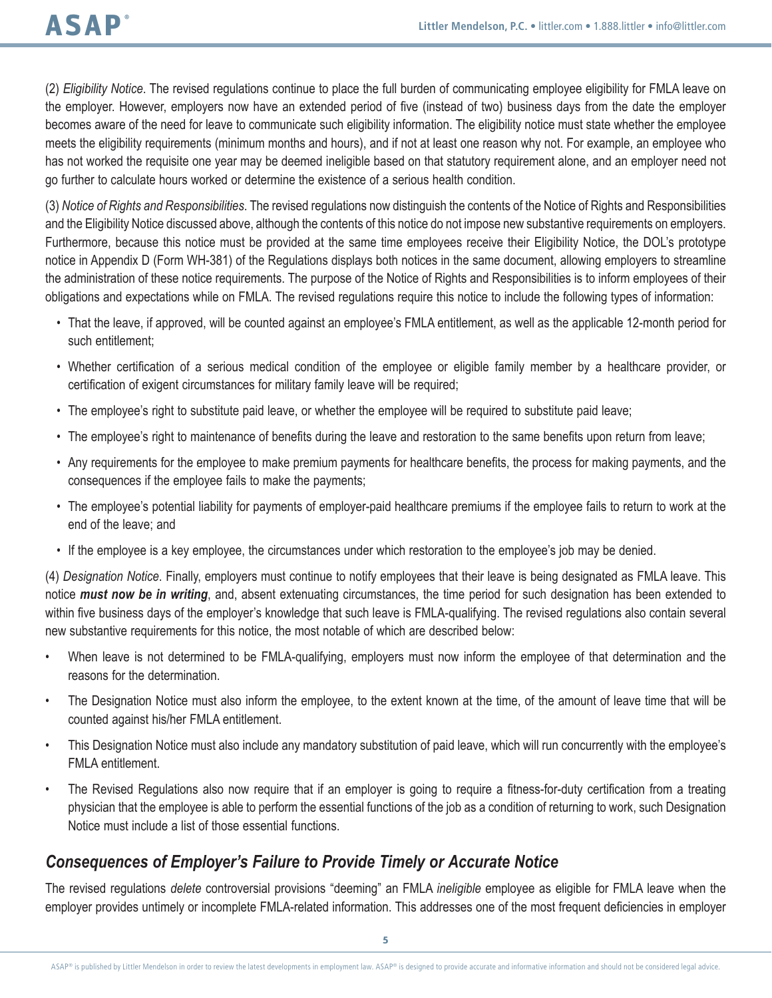(2) *Eligibility Notice*. The revised regulations continue to place the full burden of communicating employee eligibility for FMLA leave on the employer. However, employers now have an extended period of five (instead of two) business days from the date the employer becomes aware of the need for leave to communicate such eligibility information. The eligibility notice must state whether the employee meets the eligibility requirements (minimum months and hours), and if not at least one reason why not. For example, an employee who has not worked the requisite one year may be deemed ineligible based on that statutory requirement alone, and an employer need not go further to calculate hours worked or determine the existence of a serious health condition.

(3) *Notice of Rights and Responsibilities*. The revised regulations now distinguish the contents of the Notice of Rights and Responsibilities and the Eligibility Notice discussed above, although the contents of this notice do not impose new substantive requirements on employers. Furthermore, because this notice must be provided at the same time employees receive their Eligibility Notice, the DOL's prototype notice in Appendix D (Form WH-381) of the Regulations displays both notices in the same document, allowing employers to streamline the administration of these notice requirements. The purpose of the Notice of Rights and Responsibilities is to inform employees of their obligations and expectations while on FMLA. The revised regulations require this notice to include the following types of information:

- That the leave, if approved, will be counted against an employee's FMLA entitlement, as well as the applicable 12-month period for such entitlement;
- Whether certification of a serious medical condition of the employee or eligible family member by a healthcare provider, or certification of exigent circumstances for military family leave will be required;
- The employee's right to substitute paid leave, or whether the employee will be required to substitute paid leave;
- The employee's right to maintenance of benefits during the leave and restoration to the same benefits upon return from leave;
- Any requirements for the employee to make premium payments for healthcare benefits, the process for making payments, and the consequences if the employee fails to make the payments;
- The employee's potential liability for payments of employer-paid healthcare premiums if the employee fails to return to work at the end of the leave; and
- If the employee is a key employee, the circumstances under which restoration to the employee's job may be denied.

(4) *Designation Notice*. Finally, employers must continue to notify employees that their leave is being designated as FMLA leave. This notice *must now be in writing*, and, absent extenuating circumstances, the time period for such designation has been extended to within five business days of the employer's knowledge that such leave is FMLA-qualifying. The revised regulations also contain several new substantive requirements for this notice, the most notable of which are described below:

- When leave is not determined to be FMLA-qualifying, employers must now inform the employee of that determination and the reasons for the determination.
- The Designation Notice must also inform the employee, to the extent known at the time, of the amount of leave time that will be counted against his/her FMLA entitlement.
- This Designation Notice must also include any mandatory substitution of paid leave, which will run concurrently with the employee's FMLA entitlement.
- The Revised Regulations also now require that if an employer is going to require a fitness-for-duty certification from a treating physician that the employee is able to perform the essential functions of the job as a condition of returning to work, such Designation Notice must include a list of those essential functions.

#### *Consequences of Employer's Failure to Provide Timely or Accurate Notice*

The revised regulations *delete* controversial provisions "deeming" an FMLA *ineligible* employee as eligible for FMLA leave when the employer provides untimely or incomplete FMLA-related information. This addresses one of the most frequent deficiencies in employer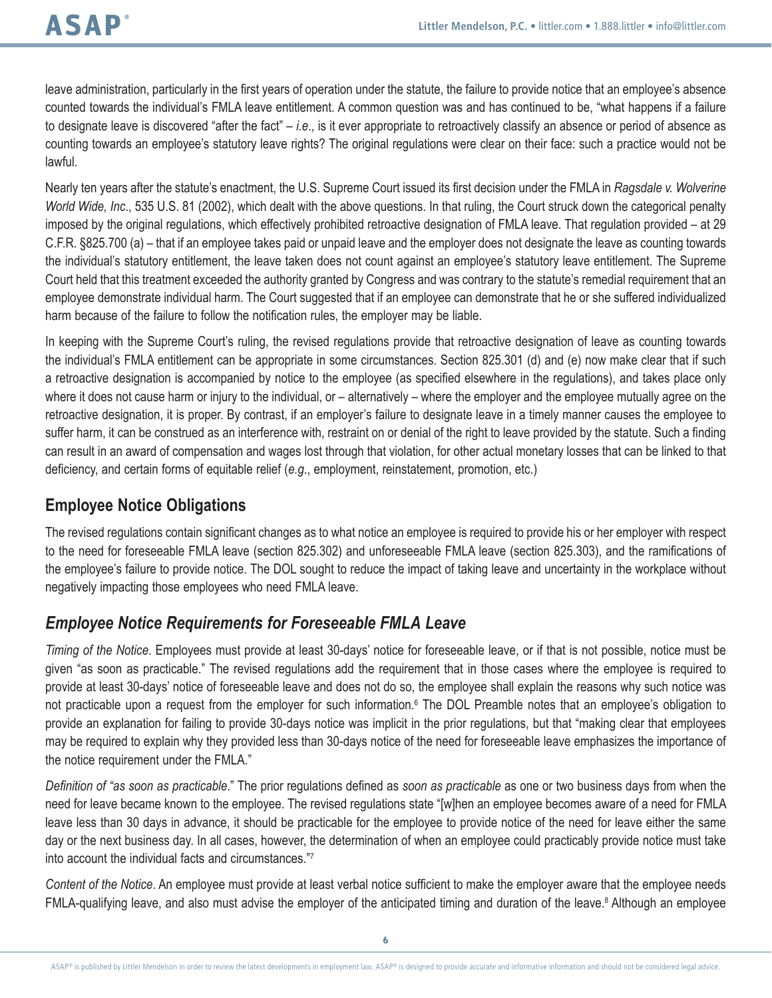leave administration, particularly in the first years of operation under the statute, the failure to provide notice that an employee's absence counted towards the individual's FMLA leave entitlement. A common question was and has continued to be, "what happens if a failure to designate leave is discovered "after the fact" – *i.e*., is it ever appropriate to retroactively classify an absence or period of absence as counting towards an employee's statutory leave rights? The original regulations were clear on their face: such a practice would not be lawful.

Nearly ten years after the statute's enactment, the U.S. Supreme Court issued its first decision under the FMLA in *Ragsdale v. Wolverine World Wide, Inc*., 535 U.S. 81 (2002), which dealt with the above questions. In that ruling, the Court struck down the categorical penalty imposed by the original regulations, which effectively prohibited retroactive designation of FMLA leave. That regulation provided – at 29 C.F.R. §825.700 (a) – that if an employee takes paid or unpaid leave and the employer does not designate the leave as counting towards the individual's statutory entitlement, the leave taken does not count against an employee's statutory leave entitlement. The Supreme Court held that this treatment exceeded the authority granted by Congress and was contrary to the statute's remedial requirement that an employee demonstrate individual harm. The Court suggested that if an employee can demonstrate that he or she suffered individualized harm because of the failure to follow the notification rules, the employer may be liable.

In keeping with the Supreme Court's ruling, the revised regulations provide that retroactive designation of leave as counting towards the individual's FMLA entitlement can be appropriate in some circumstances. Section 825.301 (d) and (e) now make clear that if such a retroactive designation is accompanied by notice to the employee (as specified elsewhere in the regulations), and takes place only where it does not cause harm or injury to the individual, or – alternatively – where the employer and the employee mutually agree on the retroactive designation, it is proper. By contrast, if an employer's failure to designate leave in a timely manner causes the employee to suffer harm, it can be construed as an interference with, restraint on or denial of the right to leave provided by the statute. Such a finding can result in an award of compensation and wages lost through that violation, for other actual monetary losses that can be linked to that deficiency, and certain forms of equitable relief (*e.g*., employment, reinstatement, promotion, etc.)

## **Employee Notice Obligations**

The revised regulations contain significant changes as to what notice an employee is required to provide his or her employer with respect to the need for foreseeable FMLA leave (section 825.302) and unforeseeable FMLA leave (section 825.303), and the ramifications of the employee's failure to provide notice. The DOL sought to reduce the impact of taking leave and uncertainty in the workplace without negatively impacting those employees who need FMLA leave.

## *Employee Notice Requirements for Foreseeable FMLA Leave*

*Timing of the Notice*. Employees must provide at least 30-days' notice for foreseeable leave, or if that is not possible, notice must be given "as soon as practicable." The revised regulations add the requirement that in those cases where the employee is required to provide at least 30-days' notice of foreseeable leave and does not do so, the employee shall explain the reasons why such notice was not practicable upon a request from the employer for such information.<sup>6</sup> The DOL Preamble notes that an employee's obligation to provide an explanation for failing to provide 30-days notice was implicit in the prior regulations, but that "making clear that employees may be required to explain why they provided less than 30-days notice of the need for foreseeable leave emphasizes the importance of the notice requirement under the FMLA."

*Definition of "as soon as practicable*." The prior regulations defined as *soon as practicable* as one or two business days from when the need for leave became known to the employee. The revised regulations state "[w]hen an employee becomes aware of a need for FMLA leave less than 30 days in advance, it should be practicable for the employee to provide notice of the need for leave either the same day or the next business day. In all cases, however, the determination of when an employee could practicably provide notice must take into account the individual facts and circumstances."7

*Content of the Notice*. An employee must provide at least verbal notice sufficient to make the employer aware that the employee needs FMLA-qualifying leave, and also must advise the employer of the anticipated timing and duration of the leave.<sup>8</sup> Although an employee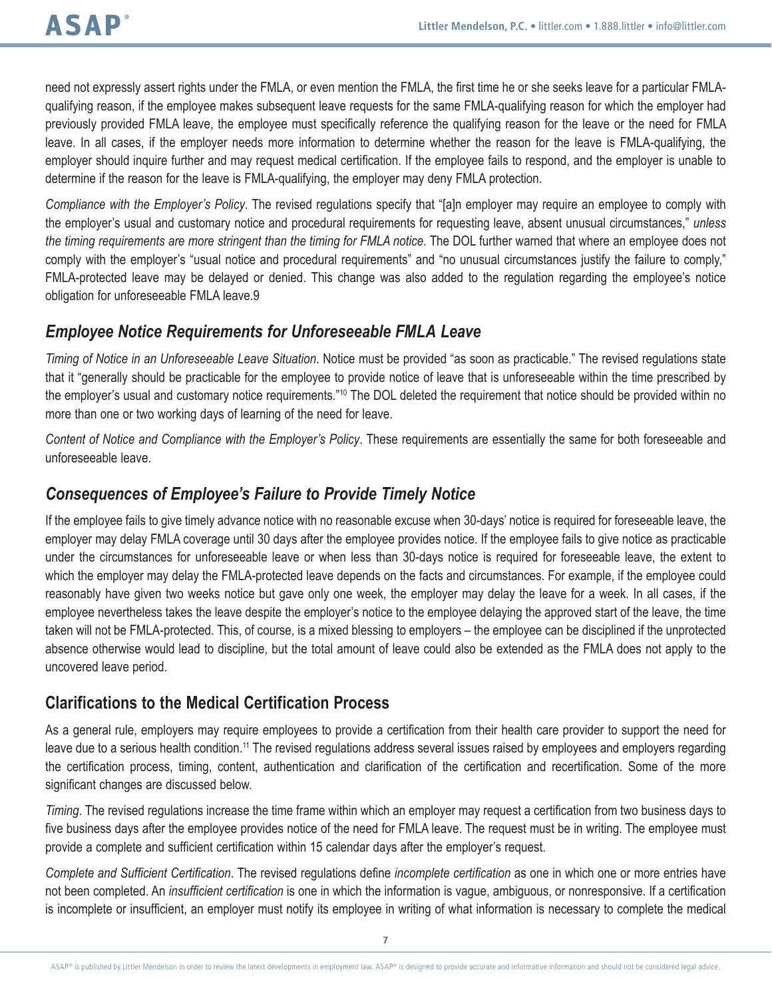need not expressly assert rights under the FMLA, or even mention the FMLA, the first time he or she seeks leave for a particular FMLAqualifying reason, if the employee makes subsequent leave requests for the same FMLA-qualifying reason for which the employer had previously provided FMLA leave, the employee must specifically reference the qualifying reason for the leave or the need for FMLA leave. In all cases, if the employer needs more information to determine whether the reason for the leave is FMLA-qualifying, the employer should inquire further and may request medical certification. If the employee fails to respond, and the employer is unable to determine if the reason for the leave is FMLA-qualifying, the employer may deny FMLA protection.

*Compliance with the Employer's Policy*. The revised regulations specify that "[a]n employer may require an employee to comply with the employer's usual and customary notice and procedural requirements for requesting leave, absent unusual circumstances," *unless the timing requirements are more stringent than the timing for FMLA notice*. The DOL further warned that where an employee does not comply with the employer's "usual notice and procedural requirements" and "no unusual circumstances justify the failure to comply," FMLA-protected leave may be delayed or denied. This change was also added to the regulation regarding the employee's notice obligation for unforeseeable FMLA leave.9

#### *Employee Notice Requirements for Unforeseeable FMLA Leave*

*Timing of Notice in an Unforeseeable Leave Situation*. Notice must be provided "as soon as practicable." The revised regulations state that it "generally should be practicable for the employee to provide notice of leave that is unforeseeable within the time prescribed by the employer's usual and customary notice requirements."10 The DOL deleted the requirement that notice should be provided within no more than one or two working days of learning of the need for leave.

*Content of Notice and Compliance with the Employer's Policy*. These requirements are essentially the same for both foreseeable and unforeseeable leave.

### *Consequences of Employee's Failure to Provide Timely Notice*

If the employee fails to give timely advance notice with no reasonable excuse when 30-days' notice is required for foreseeable leave, the employer may delay FMLA coverage until 30 days after the employee provides notice. If the employee fails to give notice as practicable under the circumstances for unforeseeable leave or when less than 30-days notice is required for foreseeable leave, the extent to which the employer may delay the FMLA-protected leave depends on the facts and circumstances. For example, if the employee could reasonably have given two weeks notice but gave only one week, the employer may delay the leave for a week. In all cases, if the employee nevertheless takes the leave despite the employer's notice to the employee delaying the approved start of the leave, the time taken will not be FMLA-protected. This, of course, is a mixed blessing to employers – the employee can be disciplined if the unprotected absence otherwise would lead to discipline, but the total amount of leave could also be extended as the FMLA does not apply to the uncovered leave period.

## **Clarifications to the Medical Certification Process**

As a general rule, employers may require employees to provide a certification from their health care provider to support the need for leave due to a serious health condition.<sup>11</sup> The revised regulations address several issues raised by employees and employers regarding the certification process, timing, content, authentication and clarification of the certification and recertification. Some of the more significant changes are discussed below.

*Timing*. The revised regulations increase the time frame within which an employer may request a certification from two business days to five business days after the employee provides notice of the need for FMLA leave. The request must be in writing. The employee must provide a complete and sufficient certification within 15 calendar days after the employer's request.

*Complete and Sufficient Certification*. The revised regulations define *incomplete certification* as one in which one or more entries have not been completed. An *insufficient certification* is one in which the information is vague, ambiguous, or nonresponsive. If a certification is incomplete or insufficient, an employer must notify its employee in writing of what information is necessary to complete the medical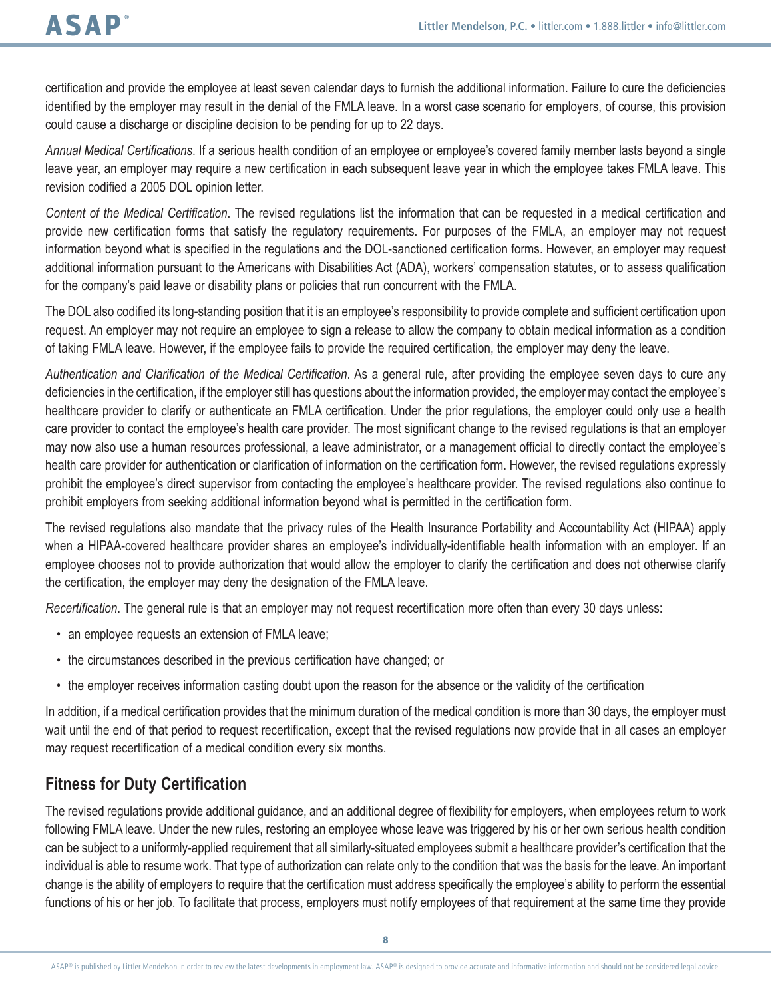certification and provide the employee at least seven calendar days to furnish the additional information. Failure to cure the deficiencies identified by the employer may result in the denial of the FMLA leave. In a worst case scenario for employers, of course, this provision could cause a discharge or discipline decision to be pending for up to 22 days.

*Annual Medical Certifications*. If a serious health condition of an employee or employee's covered family member lasts beyond a single leave year, an employer may require a new certification in each subsequent leave year in which the employee takes FMLA leave. This revision codified a 2005 DOL opinion letter.

*Content of the Medical Certification*. The revised regulations list the information that can be requested in a medical certification and provide new certification forms that satisfy the regulatory requirements. For purposes of the FMLA, an employer may not request information beyond what is specified in the regulations and the DOL-sanctioned certification forms. However, an employer may request additional information pursuant to the Americans with Disabilities Act (ADA), workers' compensation statutes, or to assess qualification for the company's paid leave or disability plans or policies that run concurrent with the FMLA.

The DOL also codified its long-standing position that it is an employee's responsibility to provide complete and sufficient certification upon request. An employer may not require an employee to sign a release to allow the company to obtain medical information as a condition of taking FMLA leave. However, if the employee fails to provide the required certification, the employer may deny the leave.

*Authentication and Clarification of the Medical Certification*. As a general rule, after providing the employee seven days to cure any deficiencies in the certification, if the employer still has questions about the information provided, the employer may contact the employee's healthcare provider to clarify or authenticate an FMLA certification. Under the prior regulations, the employer could only use a health care provider to contact the employee's health care provider. The most significant change to the revised regulations is that an employer may now also use a human resources professional, a leave administrator, or a management official to directly contact the employee's health care provider for authentication or clarification of information on the certification form. However, the revised regulations expressly prohibit the employee's direct supervisor from contacting the employee's healthcare provider. The revised regulations also continue to prohibit employers from seeking additional information beyond what is permitted in the certification form.

The revised regulations also mandate that the privacy rules of the Health Insurance Portability and Accountability Act (HIPAA) apply when a HIPAA-covered healthcare provider shares an employee's individually-identifiable health information with an employer. If an employee chooses not to provide authorization that would allow the employer to clarify the certification and does not otherwise clarify the certification, the employer may deny the designation of the FMLA leave.

*Recertification*. The general rule is that an employer may not request recertification more often than every 30 days unless:

- an employee requests an extension of FMLA leave;
- the circumstances described in the previous certification have changed; or
- the employer receives information casting doubt upon the reason for the absence or the validity of the certification

In addition, if a medical certification provides that the minimum duration of the medical condition is more than 30 days, the employer must wait until the end of that period to request recertification, except that the revised regulations now provide that in all cases an employer may request recertification of a medical condition every six months.

#### **Fitness for Duty Certification**

The revised regulations provide additional guidance, and an additional degree of flexibility for employers, when employees return to work following FMLA leave. Under the new rules, restoring an employee whose leave was triggered by his or her own serious health condition can be subject to a uniformly-applied requirement that all similarly-situated employees submit a healthcare provider's certification that the individual is able to resume work. That type of authorization can relate only to the condition that was the basis for the leave. An important change is the ability of employers to require that the certification must address specifically the employee's ability to perform the essential functions of his or her job. To facilitate that process, employers must notify employees of that requirement at the same time they provide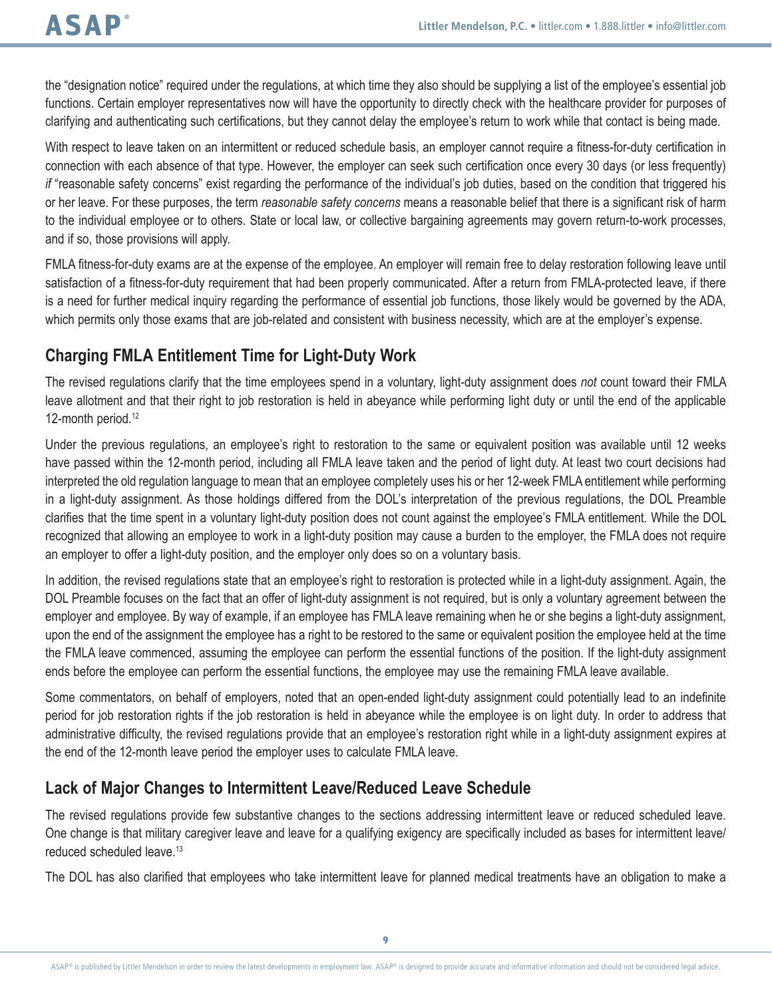the "designation notice" required under the regulations, at which time they also should be supplying a list of the employee's essential job functions. Certain employer representatives now will have the opportunity to directly check with the healthcare provider for purposes of clarifying and authenticating such certifications, but they cannot delay the employee's return to work while that contact is being made.

With respect to leave taken on an intermittent or reduced schedule basis, an employer cannot require a fitness-for-duty certification in connection with each absence of that type. However, the employer can seek such certification once every 30 days (or less frequently) *if* "reasonable safety concerns" exist regarding the performance of the individual's job duties, based on the condition that triggered his or her leave. For these purposes, the term *reasonable safety concerns* means a reasonable belief that there is a significant risk of harm to the individual employee or to others. State or local law, or collective bargaining agreements may govern return-to-work processes, and if so, those provisions will apply.

FMLA fitness-for-duty exams are at the expense of the employee. An employer will remain free to delay restoration following leave until satisfaction of a fitness-for-duty requirement that had been properly communicated. After a return from FMLA-protected leave, if there is a need for further medical inquiry regarding the performance of essential job functions, those likely would be governed by the ADA, which permits only those exams that are job-related and consistent with business necessity, which are at the employer's expense.

## **Charging FMLA Entitlement Time for Light-Duty Work**

The revised regulations clarify that the time employees spend in a voluntary, light-duty assignment does *not* count toward their FMLA leave allotment and that their right to job restoration is held in abeyance while performing light duty or until the end of the applicable 12-month period.<sup>12</sup>

Under the previous regulations, an employee's right to restoration to the same or equivalent position was available until 12 weeks have passed within the 12-month period, including all FMLA leave taken and the period of light duty. At least two court decisions had interpreted the old regulation language to mean that an employee completely uses his or her 12-week FMLA entitlement while performing in a light-duty assignment. As those holdings differed from the DOL's interpretation of the previous regulations, the DOL Preamble clarifies that the time spent in a voluntary light-duty position does not count against the employee's FMLA entitlement. While the DOL recognized that allowing an employee to work in a light-duty position may cause a burden to the employer, the FMLA does not require an employer to offer a light-duty position, and the employer only does so on a voluntary basis.

In addition, the revised regulations state that an employee's right to restoration is protected while in a light-duty assignment. Again, the DOL Preamble focuses on the fact that an offer of light-duty assignment is not required, but is only a voluntary agreement between the employer and employee. By way of example, if an employee has FMLA leave remaining when he or she begins a light-duty assignment, upon the end of the assignment the employee has a right to be restored to the same or equivalent position the employee held at the time the FMLA leave commenced, assuming the employee can perform the essential functions of the position. If the light-duty assignment ends before the employee can perform the essential functions, the employee may use the remaining FMLA leave available.

Some commentators, on behalf of employers, noted that an open-ended light-duty assignment could potentially lead to an indefinite period for job restoration rights if the job restoration is held in abeyance while the employee is on light duty. In order to address that administrative difficulty, the revised regulations provide that an employee's restoration right while in a light-duty assignment expires at the end of the 12-month leave period the employer uses to calculate FMLA leave.

## **Lack of Major Changes to Intermittent Leave/Reduced Leave Schedule**

The revised regulations provide few substantive changes to the sections addressing intermittent leave or reduced scheduled leave. One change is that military caregiver leave and leave for a qualifying exigency are specifically included as bases for intermittent leave/ reduced scheduled leave.<sup>13</sup>

The DOL has also clarified that employees who take intermittent leave for planned medical treatments have an obligation to make a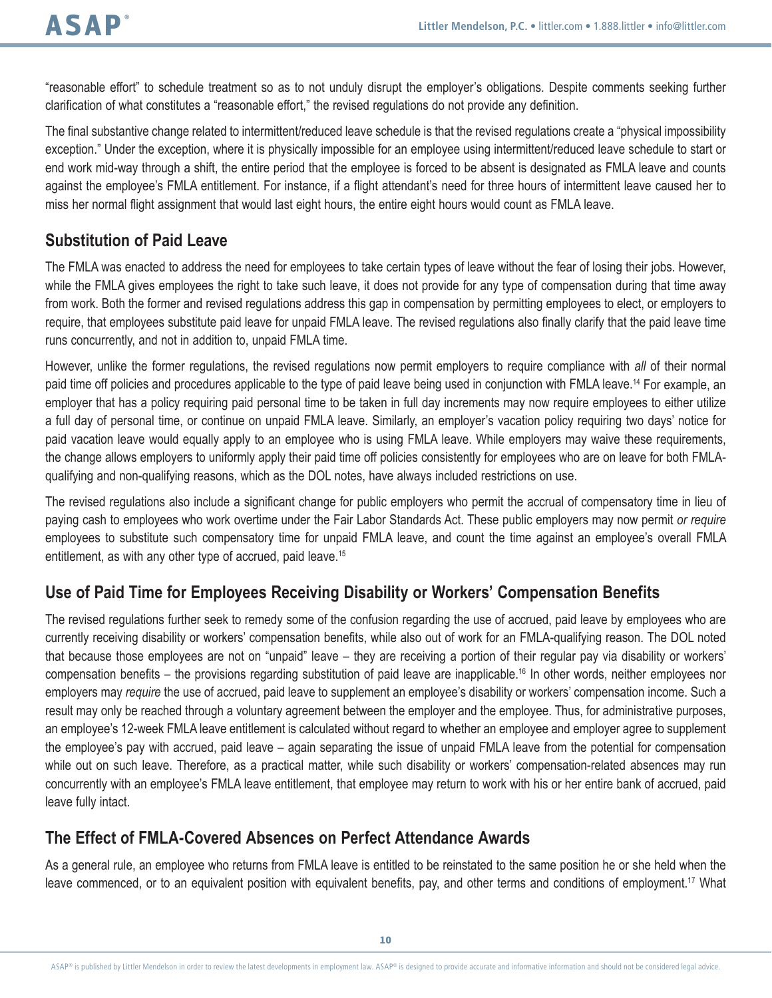"reasonable effort" to schedule treatment so as to not unduly disrupt the employer's obligations. Despite comments seeking further clarification of what constitutes a "reasonable effort," the revised regulations do not provide any definition.

The final substantive change related to intermittent/reduced leave schedule is that the revised regulations create a "physical impossibility exception." Under the exception, where it is physically impossible for an employee using intermittent/reduced leave schedule to start or end work mid-way through a shift, the entire period that the employee is forced to be absent is designated as FMLA leave and counts against the employee's FMLA entitlement. For instance, if a flight attendant's need for three hours of intermittent leave caused her to miss her normal flight assignment that would last eight hours, the entire eight hours would count as FMLA leave.

#### **Substitution of Paid Leave**

The FMLA was enacted to address the need for employees to take certain types of leave without the fear of losing their jobs. However, while the FMLA gives employees the right to take such leave, it does not provide for any type of compensation during that time away from work. Both the former and revised regulations address this gap in compensation by permitting employees to elect, or employers to require, that employees substitute paid leave for unpaid FMLA leave. The revised regulations also finally clarify that the paid leave time runs concurrently, and not in addition to, unpaid FMLA time.

However, unlike the former regulations, the revised regulations now permit employers to require compliance with *all* of their normal paid time off policies and procedures applicable to the type of paid leave being used in conjunction with FMLA leave.14 For example, an employer that has a policy requiring paid personal time to be taken in full day increments may now require employees to either utilize a full day of personal time, or continue on unpaid FMLA leave. Similarly, an employer's vacation policy requiring two days' notice for paid vacation leave would equally apply to an employee who is using FMLA leave. While employers may waive these requirements, the change allows employers to uniformly apply their paid time off policies consistently for employees who are on leave for both FMLAqualifying and non-qualifying reasons, which as the DOL notes, have always included restrictions on use.

The revised regulations also include a significant change for public employers who permit the accrual of compensatory time in lieu of paying cash to employees who work overtime under the Fair Labor Standards Act. These public employers may now permit *or require*  employees to substitute such compensatory time for unpaid FMLA leave, and count the time against an employee's overall FMLA entitlement, as with any other type of accrued, paid leave.<sup>15</sup>

## **Use of Paid Time for Employees Receiving Disability or Workers' Compensation Benefits**

The revised regulations further seek to remedy some of the confusion regarding the use of accrued, paid leave by employees who are currently receiving disability or workers' compensation benefits, while also out of work for an FMLA-qualifying reason. The DOL noted that because those employees are not on "unpaid" leave – they are receiving a portion of their regular pay via disability or workers' compensation benefits – the provisions regarding substitution of paid leave are inapplicable.<sup>16</sup> In other words, neither employees nor employers may *require* the use of accrued, paid leave to supplement an employee's disability or workers' compensation income. Such a result may only be reached through a voluntary agreement between the employer and the employee. Thus, for administrative purposes, an employee's 12-week FMLA leave entitlement is calculated without regard to whether an employee and employer agree to supplement the employee's pay with accrued, paid leave – again separating the issue of unpaid FMLA leave from the potential for compensation while out on such leave. Therefore, as a practical matter, while such disability or workers' compensation-related absences may run concurrently with an employee's FMLA leave entitlement, that employee may return to work with his or her entire bank of accrued, paid leave fully intact.

#### **The Effect of FMLA-Covered Absences on Perfect Attendance Awards**

As a general rule, an employee who returns from FMLA leave is entitled to be reinstated to the same position he or she held when the leave commenced, or to an equivalent position with equivalent benefits, pay, and other terms and conditions of employment.<sup>17</sup> What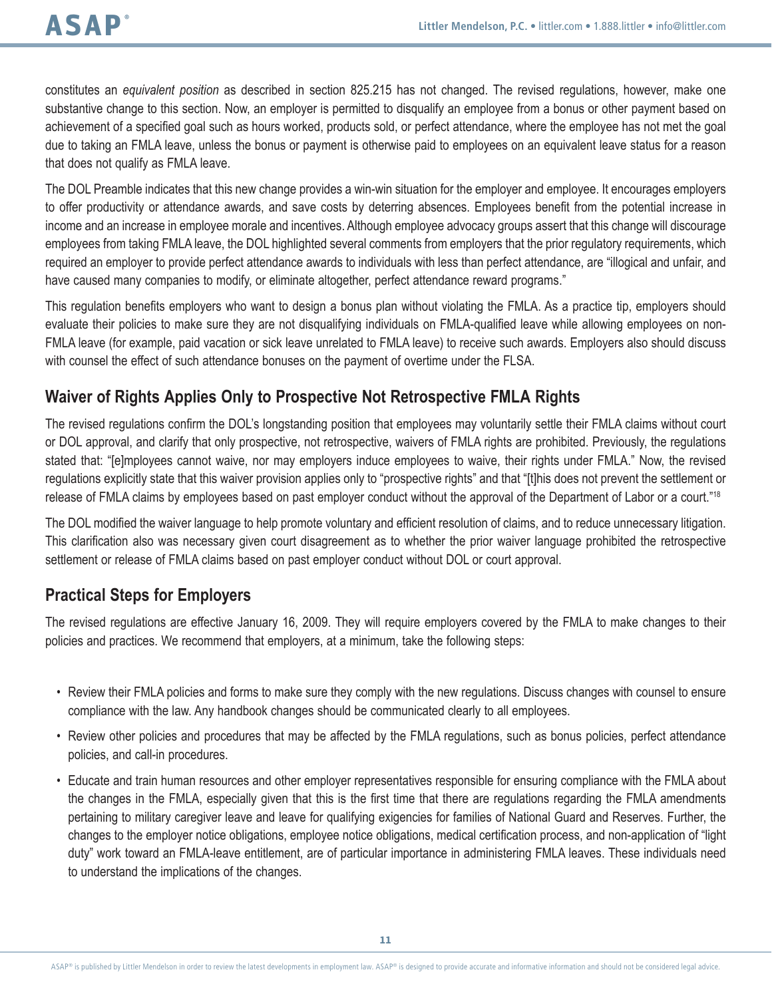constitutes an *equivalent position* as described in section 825.215 has not changed. The revised regulations, however, make one substantive change to this section. Now, an employer is permitted to disqualify an employee from a bonus or other payment based on achievement of a specified goal such as hours worked, products sold, or perfect attendance, where the employee has not met the goal due to taking an FMLA leave, unless the bonus or payment is otherwise paid to employees on an equivalent leave status for a reason that does not qualify as FMLA leave.

The DOL Preamble indicates that this new change provides a win-win situation for the employer and employee. It encourages employers to offer productivity or attendance awards, and save costs by deterring absences. Employees benefit from the potential increase in income and an increase in employee morale and incentives. Although employee advocacy groups assert that this change will discourage employees from taking FMLA leave, the DOL highlighted several comments from employers that the prior regulatory requirements, which required an employer to provide perfect attendance awards to individuals with less than perfect attendance, are "illogical and unfair, and have caused many companies to modify, or eliminate altogether, perfect attendance reward programs."

This regulation benefits employers who want to design a bonus plan without violating the FMLA. As a practice tip, employers should evaluate their policies to make sure they are not disqualifying individuals on FMLA-qualified leave while allowing employees on non-FMLA leave (for example, paid vacation or sick leave unrelated to FMLA leave) to receive such awards. Employers also should discuss with counsel the effect of such attendance bonuses on the payment of overtime under the FLSA.

## **Waiver of Rights Applies Only to Prospective Not Retrospective FMLA Rights**

The revised regulations confirm the DOL's longstanding position that employees may voluntarily settle their FMLA claims without court or DOL approval, and clarify that only prospective, not retrospective, waivers of FMLA rights are prohibited. Previously, the regulations stated that: "[e]mployees cannot waive, nor may employers induce employees to waive, their rights under FMLA." Now, the revised regulations explicitly state that this waiver provision applies only to "prospective rights" and that "[t]his does not prevent the settlement or release of FMLA claims by employees based on past employer conduct without the approval of the Department of Labor or a court."<sup>18</sup>

The DOL modified the waiver language to help promote voluntary and efficient resolution of claims, and to reduce unnecessary litigation. This clarification also was necessary given court disagreement as to whether the prior waiver language prohibited the retrospective settlement or release of FMLA claims based on past employer conduct without DOL or court approval.

#### **Practical Steps for Employers**

The revised regulations are effective January 16, 2009. They will require employers covered by the FMLA to make changes to their policies and practices. We recommend that employers, at a minimum, take the following steps:

- Review their FMLA policies and forms to make sure they comply with the new regulations. Discuss changes with counsel to ensure compliance with the law. Any handbook changes should be communicated clearly to all employees.
- Review other policies and procedures that may be affected by the FMLA regulations, such as bonus policies, perfect attendance policies, and call-in procedures.
- Educate and train human resources and other employer representatives responsible for ensuring compliance with the FMLA about the changes in the FMLA, especially given that this is the first time that there are regulations regarding the FMLA amendments pertaining to military caregiver leave and leave for qualifying exigencies for families of National Guard and Reserves. Further, the changes to the employer notice obligations, employee notice obligations, medical certification process, and non-application of "light duty" work toward an FMLA-leave entitlement, are of particular importance in administering FMLA leaves. These individuals need to understand the implications of the changes.